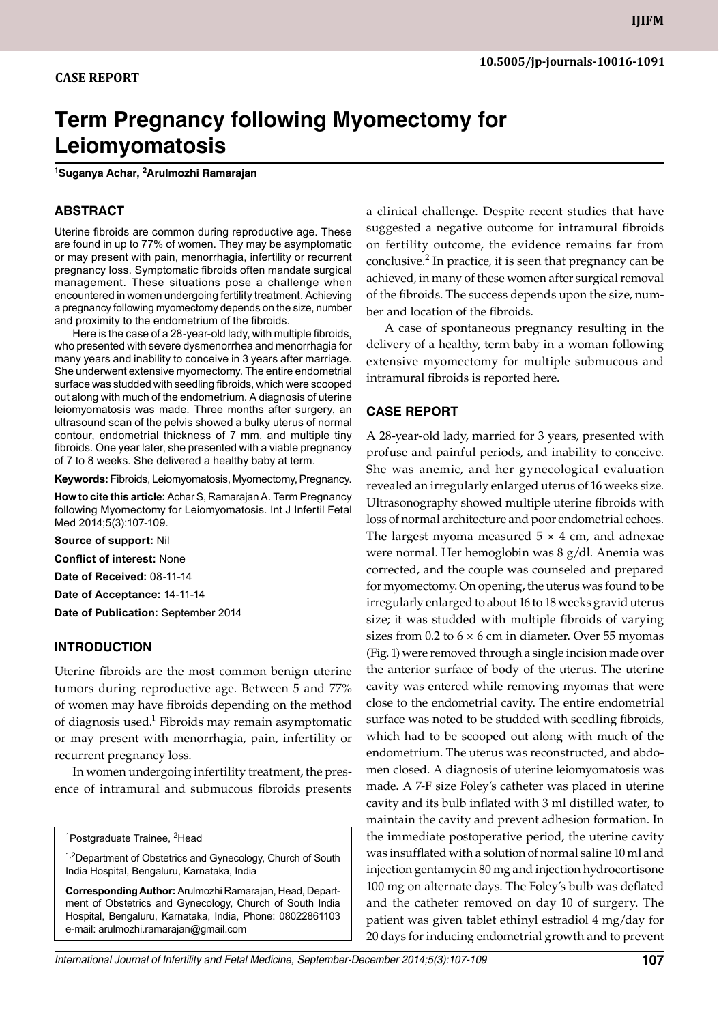# **Term Pregnancy following Myomectomy for Leiomyomatosis**

**1 Suganya Achar, 2 Arulmozhi Ramarajan**

# **ABSTRACT**

Uterine fibroids are common during reproductive age. These are found in up to 77% of women. They may be asymptomatic or may present with pain, menorrhagia, infertility or recurrent pregnancy loss. Symptomatic fibroids often mandate surgical management. These situations pose a challenge when encountered in women undergoing fertility treatment. Achieving a pregnancy following myomectomy depends on the size, number and proximity to the endometrium of the fibroids.

Here is the case of a 28-year-old lady, with multiple fibroids, who presented with severe dysmenorrhea and menorrhagia for many years and inability to conceive in 3 years after marriage. She underwent extensive myomectomy. The entire endometrial surface was studded with seedling fibroids, which were scooped out along with much of the endometrium. A diagnosis of uterine leiomyomatosis was made. Three months after surgery, an ultrasound scan of the pelvis showed a bulky uterus of normal contour, endometrial thickness of 7 mm, and multiple tiny fibroids. One year later, she presented with a viable pregnancy of 7 to 8 weeks. She delivered a healthy baby at term.

**Keywords:** Fibroids, Leiomyomatosis, Myomectomy, Pregnancy.

**How to cite this article:** Achar S, Ramarajan A. Term Pregnancy following Myomectomy for Leiomyomatosis. Int J Infertil Fetal Med 2014;5(3):107-109.

**Source of support:** Nil

**Conflict of interest:** None

**Date of Received:** 08-11-14

**Date of Acceptance:** 14-11-14

**Date of Publication:** September 2014

# **Introduction**

Uterine fibroids are the most common benign uterine tumors during reproductive age. Between 5 and 77% of women may have fibroids depending on the method of diagnosis used.<sup>1</sup> Fibroids may remain asymptomatic or may present with menorrhagia, pain, infertility or recurrent pregnancy loss.

In women undergoing infertility treatment, the presence of intramural and submucous fibroids presents

<sup>1,2</sup>Department of Obstetrics and Gynecology, Church of South India Hospital, Bengaluru, Karnataka, India

**Corresponding Author:** Arulmozhi Ramarajan, Head, Department of Obstetrics and Gynecology, Church of South India Hospital, Bengaluru, Karnataka, India, Phone: 08022861103 e-mail: arulmozhi.ramarajan@gmail.com

a clinical challenge. Despite recent studies that have suggested a negative outcome for intramural fibroids on fertility outcome, the evidence remains far from conclusive.<sup>2</sup> In practice, it is seen that pregnancy can be achieved, in many of these women after surgical removal of the fibroids. The success depends upon the size, number and location of the fibroids.

A case of spontaneous pregnancy resulting in the delivery of a healthy, term baby in a woman following extensive myomectomy for multiple submucous and intramural fibroids is reported here.

#### **Case report**

A 28-year-old lady, married for 3 years, presented with profuse and painful periods, and inability to conceive. She was anemic, and her gynecological evaluation revealed an irregularly enlarged uterus of 16 weeks size. Ultrasonography showed multiple uterine fibroids with loss of normal architecture and poor endometrial echoes. The largest myoma measured  $5 \times 4$  cm, and adnexae were normal. Her hemoglobin was 8 g/dl. Anemia was corrected, and the couple was counseled and prepared for myomectomy. On opening, the uterus was found to be irregularly enlarged to about 16 to 18 weeks gravid uterus size; it was studded with multiple fibroids of varying sizes from 0.2 to  $6 \times 6$  cm in diameter. Over 55 myomas (Fig. 1) were removed through a single incision made over the anterior surface of body of the uterus. The uterine cavity was entered while removing myomas that were close to the endometrial cavity. The entire endometrial surface was noted to be studded with seedling fibroids, which had to be scooped out along with much of the endometrium. The uterus was reconstructed, and abdomen closed. A diagnosis of uterine leiomyomatosis was made. A 7-F size Foley's catheter was placed in uterine cavity and its bulb inflated with 3 ml distilled water, to maintain the cavity and prevent adhesion formation. In the immediate postoperative period, the uterine cavity was insufflated with a solution of normal saline 10 ml and injection gentamycin 80 mg and injection hydrocortisone 100 mg on alternate days. The Foley's bulb was deflated and the catheter removed on day 10 of surgery. The patient was given tablet ethinyl estradiol 4 mg/day for 20 days for inducing endometrial growth and to prevent

<sup>&</sup>lt;sup>1</sup>Postgraduate Trainee, <sup>2</sup>Head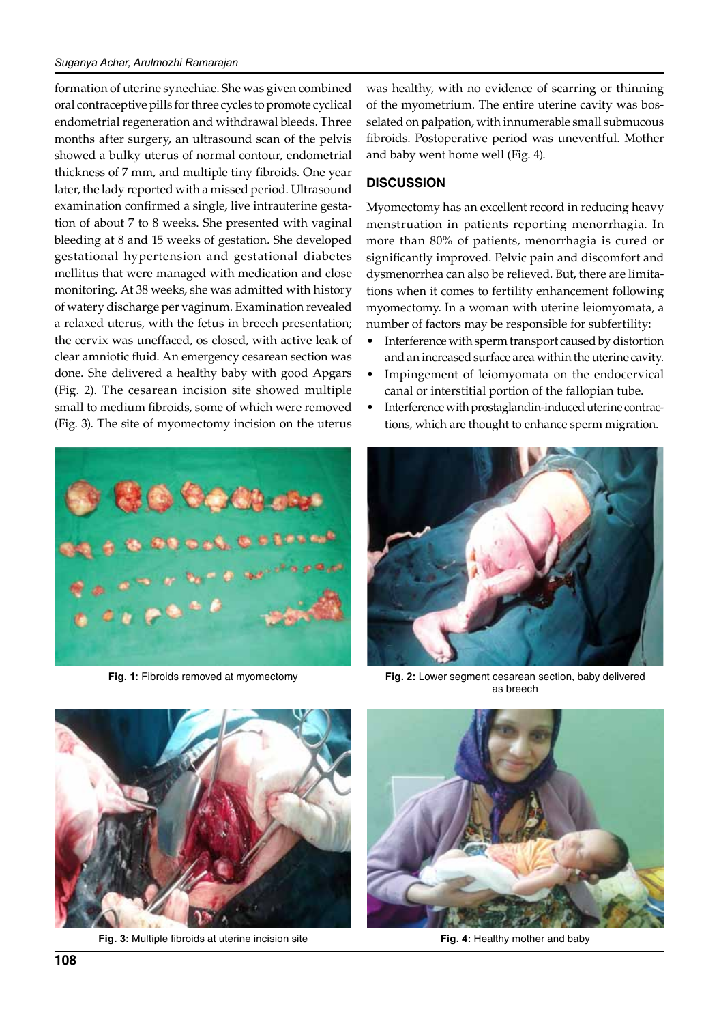#### *Suganya Achar, Arulmozhi Ramarajan*

formation of uterine synechiae. She was given combined oral contraceptive pills for three cycles to promote cyclical endometrial regeneration and withdrawal bleeds. Three months after surgery, an ultrasound scan of the pelvis showed a bulky uterus of normal contour, endometrial thickness of 7 mm, and multiple tiny fibroids. One year later, the lady reported with a missed period. Ultrasound examination confirmed a single, live intrauterine gestation of about 7 to 8 weeks. She presented with vaginal bleeding at 8 and 15 weeks of gestation. She developed gestational hypertension and gestational diabetes mellitus that were managed with medication and close monitoring. At 38 weeks, she was admitted with history of watery discharge per vaginum. Examination revealed a relaxed uterus, with the fetus in breech presentation; the cervix was uneffaced, os closed, with active leak of clear amniotic fluid. An emergency cesarean section was done. She delivered a healthy baby with good Apgars (Fig. 2). The cesarean incision site showed multiple small to medium fibroids, some of which were removed (Fig. 3). The site of myomectomy incision on the uterus



was healthy, with no evidence of scarring or thinning of the myometrium. The entire uterine cavity was bosselated on palpation, with innumerable small submucous fibroids. Postoperative period was uneventful. Mother and baby went home well (Fig. 4).

## **Discussion**

Myomectomy has an excellent record in reducing heavy menstruation in patients reporting menorrhagia. In more than 80% of patients, menorrhagia is cured or significantly improved. Pelvic pain and discomfort and dysmenorrhea can also be relieved. But, there are limitations when it comes to fertility enhancement following myomectomy. In a woman with uterine leiomyomata, a number of factors may be responsible for subfertility:

- Interference with sperm transport caused by distortion and an increased surface area within the uterine cavity.
- Impingement of leiomyomata on the endocervical canal or interstitial portion of the fallopian tube.
- Interference with prostaglandin-induced uterine contractions, which are thought to enhance sperm migration.



**Fig. 1:** Fibroids removed at myomectomy **Fig. 2:** Lower segment cesarean section, baby delivered as breech



**Fig. 3:** Multiple fibroids at uterine incision site



**Fig. 4:** Healthy mother and baby